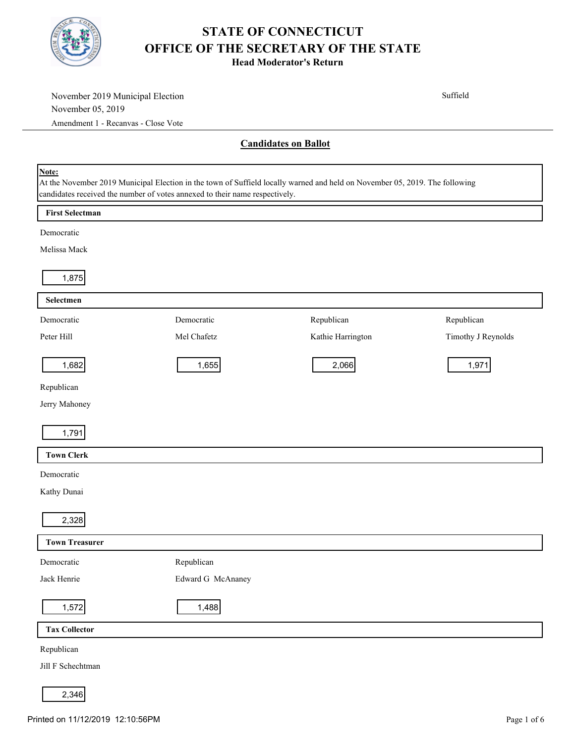

| November 2019 Municipal Election                                                                                                     |                   |                             | Suffield           |
|--------------------------------------------------------------------------------------------------------------------------------------|-------------------|-----------------------------|--------------------|
| November 05, 2019                                                                                                                    |                   |                             |                    |
| Amendment 1 - Recanvas - Close Vote                                                                                                  |                   |                             |                    |
|                                                                                                                                      |                   | <b>Candidates on Ballot</b> |                    |
|                                                                                                                                      |                   |                             |                    |
| Note:<br>At the November 2019 Municipal Election in the town of Suffield locally warned and held on November 05, 2019. The following |                   |                             |                    |
| candidates received the number of votes annexed to their name respectively.                                                          |                   |                             |                    |
| <b>First Selectman</b>                                                                                                               |                   |                             |                    |
| Democratic                                                                                                                           |                   |                             |                    |
| Melissa Mack                                                                                                                         |                   |                             |                    |
|                                                                                                                                      |                   |                             |                    |
| 1,875                                                                                                                                |                   |                             |                    |
| Selectmen                                                                                                                            |                   |                             |                    |
| Democratic                                                                                                                           | Democratic        | Republican                  | Republican         |
| Peter Hill                                                                                                                           | Mel Chafetz       | Kathie Harrington           | Timothy J Reynolds |
|                                                                                                                                      |                   |                             |                    |
| 1,682                                                                                                                                | 1,655             | 2,066                       | 1,971              |
| Republican                                                                                                                           |                   |                             |                    |
| Jerry Mahoney                                                                                                                        |                   |                             |                    |
|                                                                                                                                      |                   |                             |                    |
| 1,791                                                                                                                                |                   |                             |                    |
| <b>Town Clerk</b>                                                                                                                    |                   |                             |                    |
| Democratic                                                                                                                           |                   |                             |                    |
| Kathy Dunai                                                                                                                          |                   |                             |                    |
|                                                                                                                                      |                   |                             |                    |
| 2,328                                                                                                                                |                   |                             |                    |
| <b>Town Treasurer</b>                                                                                                                |                   |                             |                    |
| Democratic                                                                                                                           | Republican        |                             |                    |
| Jack Henrie                                                                                                                          | Edward G McAnaney |                             |                    |
| 1,572                                                                                                                                | 1,488             |                             |                    |
|                                                                                                                                      |                   |                             |                    |
| <b>Tax Collector</b>                                                                                                                 |                   |                             |                    |
| Republican                                                                                                                           |                   |                             |                    |
| Jill F Schechtman                                                                                                                    |                   |                             |                    |
| 2,346                                                                                                                                |                   |                             |                    |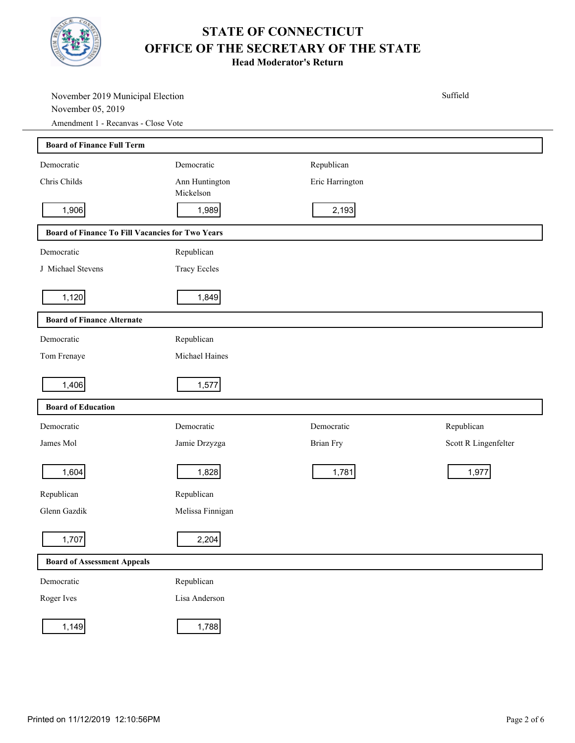

| November 2019 Municipal Election<br>November 05, 2019<br>Amendment 1 - Recanvas - Close Vote |                             |                 | Suffield             |  |
|----------------------------------------------------------------------------------------------|-----------------------------|-----------------|----------------------|--|
| <b>Board of Finance Full Term</b>                                                            |                             |                 |                      |  |
| Democratic                                                                                   | Democratic                  | Republican      |                      |  |
| Chris Childs                                                                                 | Ann Huntington<br>Mickelson | Eric Harrington |                      |  |
| 1,906                                                                                        | 1,989                       | 2,193           |                      |  |
| Board of Finance To Fill Vacancies for Two Years                                             |                             |                 |                      |  |
| Democratic                                                                                   | Republican                  |                 |                      |  |
| J Michael Stevens                                                                            | <b>Tracy Eccles</b>         |                 |                      |  |
| 1,120                                                                                        | 1,849                       |                 |                      |  |
| <b>Board of Finance Alternate</b>                                                            |                             |                 |                      |  |
| Democratic                                                                                   | Republican                  |                 |                      |  |
| Tom Frenaye                                                                                  | Michael Haines              |                 |                      |  |
| 1,406                                                                                        | 1,577                       |                 |                      |  |
| <b>Board of Education</b>                                                                    |                             |                 |                      |  |
| Democratic                                                                                   | Democratic                  | Democratic      | Republican           |  |
| James Mol                                                                                    | Jamie Drzyzga               | Brian Fry       | Scott R Lingenfelter |  |
| 1,604                                                                                        | 1,828                       | 1,781           | 1,977                |  |
| Republican                                                                                   | Republican                  |                 |                      |  |
| Glenn Gazdik                                                                                 | Melissa Finnigan            |                 |                      |  |
| 1,707                                                                                        | 2,204                       |                 |                      |  |
| <b>Board of Assessment Appeals</b>                                                           |                             |                 |                      |  |
| Democratic                                                                                   | Republican                  |                 |                      |  |
| Roger Ives                                                                                   | Lisa Anderson               |                 |                      |  |
| 1,149                                                                                        | 1,788                       |                 |                      |  |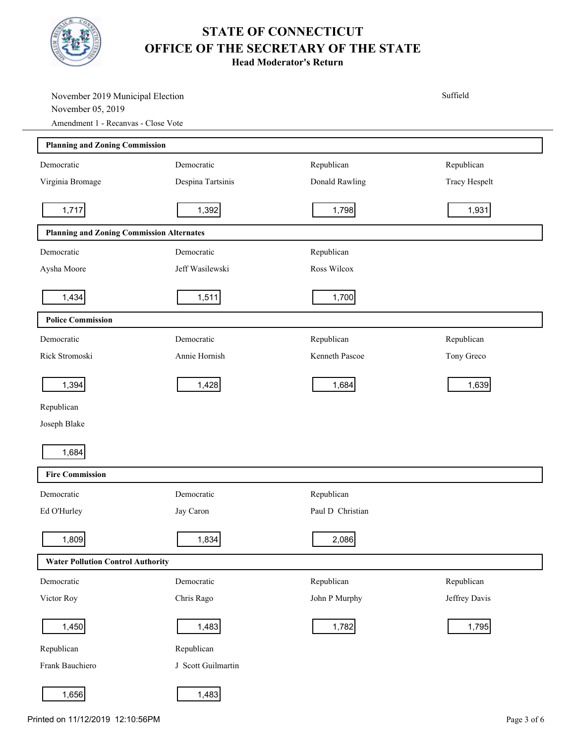

| November 2019 Municipal Election<br>November 05, 2019 |                    |                  | Suffield      |  |
|-------------------------------------------------------|--------------------|------------------|---------------|--|
| Amendment 1 - Recanvas - Close Vote                   |                    |                  |               |  |
| <b>Planning and Zoning Commission</b>                 |                    |                  |               |  |
| Democratic                                            | Democratic         | Republican       | Republican    |  |
| Virginia Bromage                                      | Despina Tartsinis  | Donald Rawling   | Tracy Hespelt |  |
| 1,717                                                 | 1,392              | 1,798            | 1,931         |  |
| <b>Planning and Zoning Commission Alternates</b>      |                    |                  |               |  |
| Democratic                                            | Democratic         | Republican       |               |  |
| Aysha Moore                                           | Jeff Wasilewski    | Ross Wilcox      |               |  |
| 1,434                                                 | 1,511              | 1,700            |               |  |
| <b>Police Commission</b>                              |                    |                  |               |  |
| Democratic                                            | Democratic         | Republican       | Republican    |  |
| Rick Stromoski                                        | Annie Hornish      | Kenneth Pascoe   | Tony Greco    |  |
| 1,394                                                 | 1,428              | 1,684            | 1,639         |  |
| Republican                                            |                    |                  |               |  |
| Joseph Blake                                          |                    |                  |               |  |
| 1,684                                                 |                    |                  |               |  |
| <b>Fire Commission</b>                                |                    |                  |               |  |
| Democratic                                            | Democratic         | Republican       |               |  |
| Ed O'Hurley                                           | Jay Caron          | Paul D Christian |               |  |
| 1,809                                                 | 1,834              | 2,086            |               |  |
| <b>Water Pollution Control Authority</b>              |                    |                  |               |  |
| Democratic                                            | Democratic         | Republican       | Republican    |  |
| Victor Roy                                            | Chris Rago         | John P Murphy    | Jeffrey Davis |  |
| 1,450                                                 | 1,483              | 1,782            | 1,795         |  |
| Republican                                            | Republican         |                  |               |  |
| Frank Bauchiero                                       | J Scott Guilmartin |                  |               |  |
| 1,656                                                 | 1,483              |                  |               |  |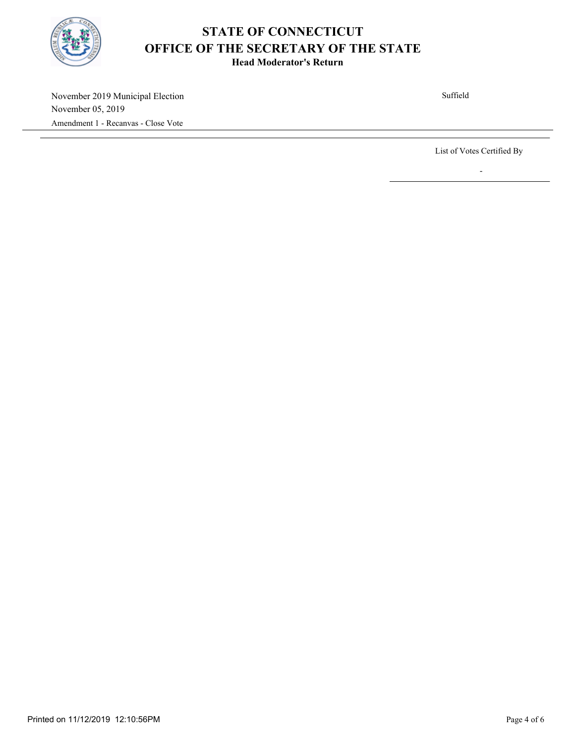

**Head Moderator's Return**

November 2019 Municipal Election November 05, 2019 Amendment 1 - Recanvas - Close Vote

Suffield

List of Votes Certified By

-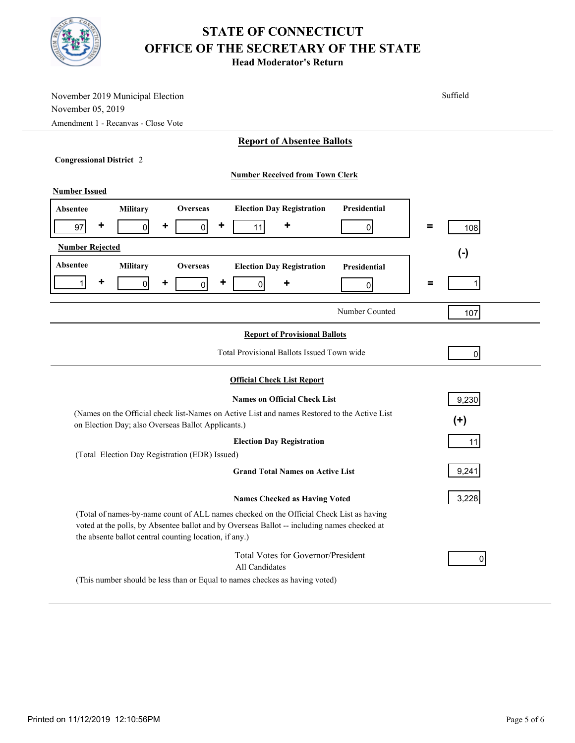| November 2019 Municipal Election<br>November 05, 2019                                                                                                                                                                                            | Suffield        |  |  |  |
|--------------------------------------------------------------------------------------------------------------------------------------------------------------------------------------------------------------------------------------------------|-----------------|--|--|--|
| Amendment 1 - Recanvas - Close Vote                                                                                                                                                                                                              |                 |  |  |  |
| <b>Report of Absentee Ballots</b>                                                                                                                                                                                                                |                 |  |  |  |
| <b>Congressional District 2</b>                                                                                                                                                                                                                  |                 |  |  |  |
| <b>Number Received from Town Clerk</b>                                                                                                                                                                                                           |                 |  |  |  |
| <b>Number Issued</b>                                                                                                                                                                                                                             |                 |  |  |  |
| <b>Election Day Registration</b><br>Presidential<br>Military<br><b>Overseas</b><br>Absentee                                                                                                                                                      |                 |  |  |  |
| ٠<br>٠<br>+<br>٠<br>$\mathsf{0}$<br>97<br>$\overline{0}$<br>11<br>$\overline{0}$                                                                                                                                                                 | $\equiv$<br>108 |  |  |  |
| <b>Number Rejected</b>                                                                                                                                                                                                                           | $(\cdot)$       |  |  |  |
| Absentee<br>Military<br><b>Overseas</b><br><b>Election Day Registration</b><br><b>Presidential</b>                                                                                                                                               |                 |  |  |  |
| ٠<br>٠<br>٠<br>1<br>$\overline{0}$<br>٠<br>$\mathsf{0}$<br>0<br> 0                                                                                                                                                                               | $\equiv$        |  |  |  |
| Number Counted                                                                                                                                                                                                                                   | 107             |  |  |  |
|                                                                                                                                                                                                                                                  |                 |  |  |  |
| <b>Report of Provisional Ballots</b>                                                                                                                                                                                                             |                 |  |  |  |
| Total Provisional Ballots Issued Town wide                                                                                                                                                                                                       | $\overline{0}$  |  |  |  |
| <b>Official Check List Report</b>                                                                                                                                                                                                                |                 |  |  |  |
| <b>Names on Official Check List</b>                                                                                                                                                                                                              | 9,230           |  |  |  |
| (Names on the Official check list-Names on Active List and names Restored to the Active List<br>$(+)$<br>on Election Day; also Overseas Ballot Applicants.)                                                                                      |                 |  |  |  |
| <b>Election Day Registration</b>                                                                                                                                                                                                                 | 11              |  |  |  |
| (Total Election Day Registration (EDR) Issued)                                                                                                                                                                                                   |                 |  |  |  |
| <b>Grand Total Names on Active List</b>                                                                                                                                                                                                          | 9,241           |  |  |  |
| <b>Names Checked as Having Voted</b>                                                                                                                                                                                                             | 3,228           |  |  |  |
| (Total of names-by-name count of ALL names checked on the Official Check List as having<br>voted at the polls, by Absentee ballot and by Overseas Ballot -- including names checked at<br>the absente ballot central counting location, if any.) |                 |  |  |  |
| Total Votes for Governor/President<br>All Candidates                                                                                                                                                                                             | 0               |  |  |  |
| (This number should be less than or Equal to names checkes as having voted)                                                                                                                                                                      |                 |  |  |  |